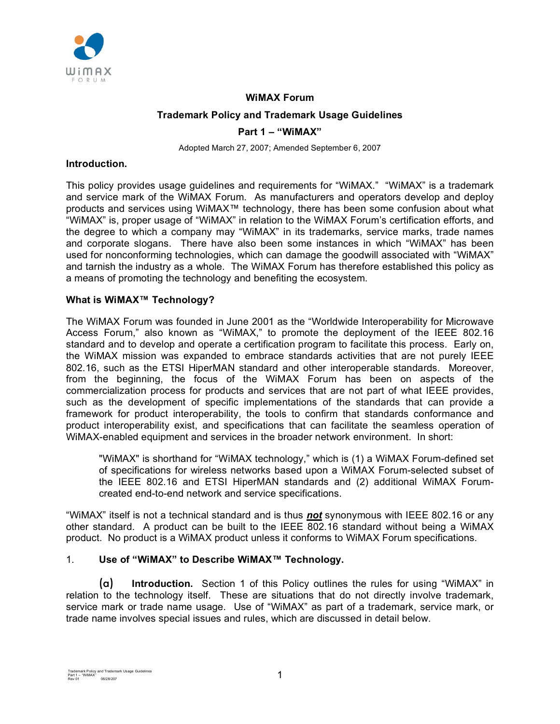

## **WiMAX Forum**

## **Trademark Policy and Trademark Usage Guidelines**

#### **Part 1 – "WiMAX"**

Adopted March 27, 2007; Amended September 6, 2007

## **Introduction.**

This policy provides usage guidelines and requirements for "WiMAX." "WiMAX" is a trademark and service mark of the WiMAX Forum. As manufacturers and operators develop and deploy products and services using WiMAX™ technology, there has been some confusion about what "WiMAX" is, proper usage of "WiMAX" in relation to the WiMAX Forum's certification efforts, and the degree to which a company may "WiMAX" in its trademarks, service marks, trade names and corporate slogans. There have also been some instances in which "WiMAX" has been used for nonconforming technologies, which can damage the goodwill associated with "WiMAX" and tarnish the industry as a whole. The WiMAX Forum has therefore established this policy as a means of promoting the technology and benefiting the ecosystem.

## **What is WiMAX™ Technology?**

The WiMAX Forum was founded in June 2001 as the "Worldwide Interoperability for Microwave Access Forum," also known as "WiMAX," to promote the deployment of the IEEE 802.16 standard and to develop and operate a certification program to facilitate this process. Early on, the WiMAX mission was expanded to embrace standards activities that are not purely IEEE 802.16, such as the ETSI HiperMAN standard and other interoperable standards. Moreover, from the beginning, the focus of the WiMAX Forum has been on aspects of the commercialization process for products and services that are not part of what IEEE provides, such as the development of specific implementations of the standards that can provide a framework for product interoperability, the tools to confirm that standards conformance and product interoperability exist, and specifications that can facilitate the seamless operation of WiMAX-enabled equipment and services in the broader network environment. In short:

"WiMAX" is shorthand for "WiMAX technology," which is (1) a WiMAX Forum-defined set of specifications for wireless networks based upon a WiMAX Forum-selected subset of the IEEE 802.16 and ETSI HiperMAN standards and (2) additional WiMAX Forumcreated end-to-end network and service specifications.

"WiMAX" itself is not a technical standard and is thus *not* synonymous with IEEE 802.16 or any other standard. A product can be built to the IEEE 802.16 standard without being a WiMAX product. No product is a WiMAX product unless it conforms to WiMAX Forum specifications.

## 1. **Use of "WiMAX" to Describe WiMAX™ Technology.**

(a) **Introduction.** Section 1 of this Policy outlines the rules for using "WiMAX" in relation to the technology itself. These are situations that do not directly involve trademark, service mark or trade name usage. Use of "WiMAX" as part of a trademark, service mark, or trade name involves special issues and rules, which are discussed in detail below.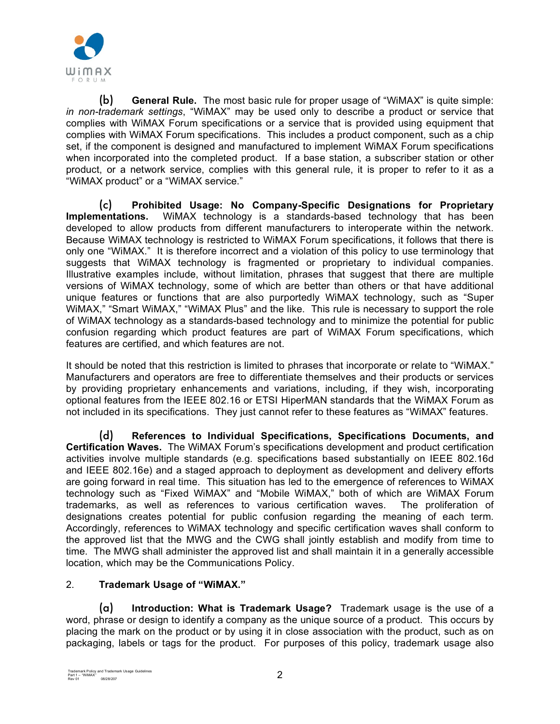

(b) **General Rule.** The most basic rule for proper usage of "WiMAX" is quite simple: *in non-trademark settings*, "WiMAX" may be used only to describe a product or service that complies with WiMAX Forum specifications or a service that is provided using equipment that complies with WiMAX Forum specifications. This includes a product component, such as a chip set, if the component is designed and manufactured to implement WiMAX Forum specifications when incorporated into the completed product. If a base station, a subscriber station or other product, or a network service, complies with this general rule, it is proper to refer to it as a "WiMAX product" or a "WiMAX service."

(c) **Prohibited Usage: No Company-Specific Designations for Proprietary Implementations.** WiMAX technology is a standards-based technology that has been developed to allow products from different manufacturers to interoperate within the network. Because WiMAX technology is restricted to WiMAX Forum specifications, it follows that there is only one "WiMAX." It is therefore incorrect and a violation of this policy to use terminology that suggests that WiMAX technology is fragmented or proprietary to individual companies. Illustrative examples include, without limitation, phrases that suggest that there are multiple versions of WiMAX technology, some of which are better than others or that have additional unique features or functions that are also purportedly WiMAX technology, such as "Super WiMAX," "Smart WiMAX," "WiMAX Plus" and the like. This rule is necessary to support the role of WiMAX technology as a standards-based technology and to minimize the potential for public confusion regarding which product features are part of WiMAX Forum specifications, which features are certified, and which features are not.

It should be noted that this restriction is limited to phrases that incorporate or relate to "WiMAX." Manufacturers and operators are free to differentiate themselves and their products or services by providing proprietary enhancements and variations, including, if they wish, incorporating optional features from the IEEE 802.16 or ETSI HiperMAN standards that the WiMAX Forum as not included in its specifications. They just cannot refer to these features as "WiMAX" features.

(d) **References to Individual Specifications, Specifications Documents, and Certification Waves.** The WiMAX Forum's specifications development and product certification activities involve multiple standards (e.g. specifications based substantially on IEEE 802.16d and IEEE 802.16e) and a staged approach to deployment as development and delivery efforts are going forward in real time. This situation has led to the emergence of references to WiMAX technology such as "Fixed WiMAX" and "Mobile WiMAX," both of which are WiMAX Forum trademarks, as well as references to various certification waves. The proliferation of designations creates potential for public confusion regarding the meaning of each term. Accordingly, references to WiMAX technology and specific certification waves shall conform to the approved list that the MWG and the CWG shall jointly establish and modify from time to time. The MWG shall administer the approved list and shall maintain it in a generally accessible location, which may be the Communications Policy.

# 2. **Trademark Usage of "WiMAX."**

(a) **Introduction: What is Trademark Usage?** Trademark usage is the use of a word, phrase or design to identify a company as the unique source of a product. This occurs by placing the mark on the product or by using it in close association with the product, such as on packaging, labels or tags for the product. For purposes of this policy, trademark usage also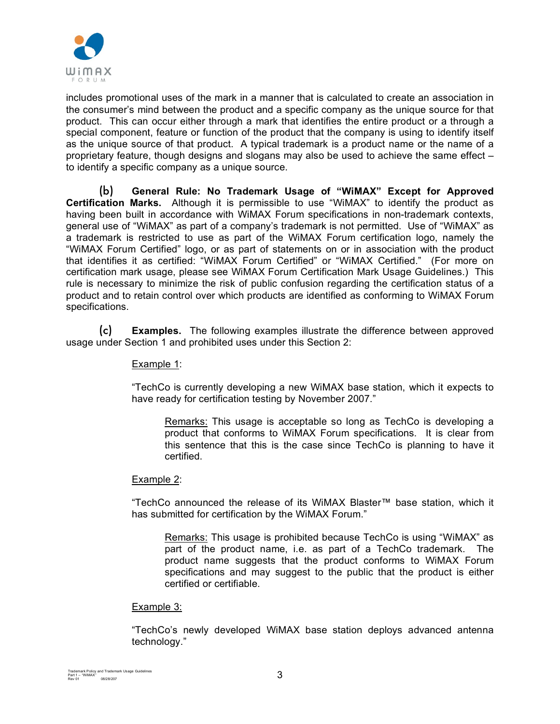

includes promotional uses of the mark in a manner that is calculated to create an association in the consumer's mind between the product and a specific company as the unique source for that product. This can occur either through a mark that identifies the entire product or a through a special component, feature or function of the product that the company is using to identify itself as the unique source of that product. A typical trademark is a product name or the name of a proprietary feature, though designs and slogans may also be used to achieve the same effect – to identify a specific company as a unique source.

(b) **General Rule: No Trademark Usage of "WiMAX" Except for Approved Certification Marks.** Although it is permissible to use "WiMAX" to identify the product as having been built in accordance with WiMAX Forum specifications in non-trademark contexts, general use of "WiMAX" as part of a company's trademark is not permitted. Use of "WiMAX" as a trademark is restricted to use as part of the WiMAX Forum certification logo, namely the "WiMAX Forum Certified" logo, or as part of statements on or in association with the product that identifies it as certified: "WiMAX Forum Certified" or "WiMAX Certified." (For more on certification mark usage, please see WiMAX Forum Certification Mark Usage Guidelines.) This rule is necessary to minimize the risk of public confusion regarding the certification status of a product and to retain control over which products are identified as conforming to WiMAX Forum specifications.

(c) **Examples.** The following examples illustrate the difference between approved usage under Section 1 and prohibited uses under this Section 2:

## Example 1:

"TechCo is currently developing a new WiMAX base station, which it expects to have ready for certification testing by November 2007."

Remarks: This usage is acceptable so long as TechCo is developing a product that conforms to WiMAX Forum specifications. It is clear from this sentence that this is the case since TechCo is planning to have it certified.

## Example 2:

"TechCo announced the release of its WiMAX Blaster™ base station, which it has submitted for certification by the WiMAX Forum."

Remarks: This usage is prohibited because TechCo is using "WiMAX" as part of the product name, i.e. as part of a TechCo trademark. The product name suggests that the product conforms to WiMAX Forum specifications and may suggest to the public that the product is either certified or certifiable.

## Example 3:

"TechCo's newly developed WiMAX base station deploys advanced antenna technology."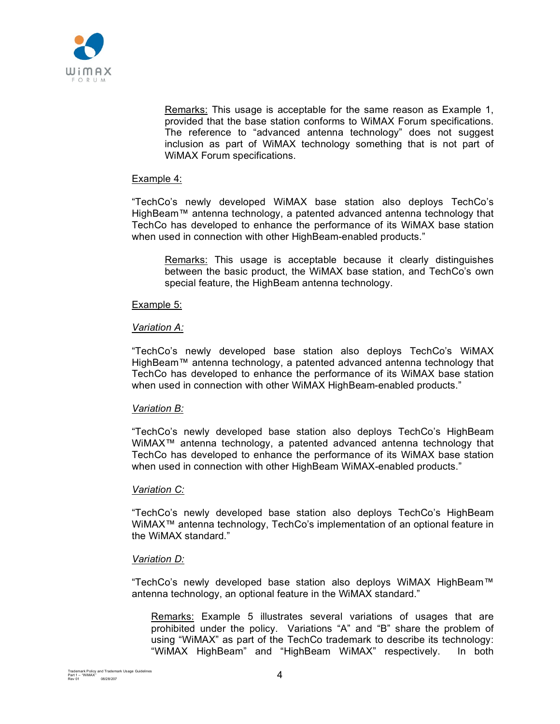

Remarks: This usage is acceptable for the same reason as Example 1, provided that the base station conforms to WiMAX Forum specifications. The reference to "advanced antenna technology" does not suggest inclusion as part of WiMAX technology something that is not part of WiMAX Forum specifications.

## Example 4:

"TechCo's newly developed WiMAX base station also deploys TechCo's HighBeam™ antenna technology, a patented advanced antenna technology that TechCo has developed to enhance the performance of its WiMAX base station when used in connection with other HighBeam-enabled products."

Remarks: This usage is acceptable because it clearly distinguishes between the basic product, the WiMAX base station, and TechCo's own special feature, the HighBeam antenna technology.

#### Example 5:

#### *Variation A:*

"TechCo's newly developed base station also deploys TechCo's WiMAX HighBeam™ antenna technology, a patented advanced antenna technology that TechCo has developed to enhance the performance of its WiMAX base station when used in connection with other WiMAX HighBeam-enabled products."

## *Variation B:*

"TechCo's newly developed base station also deploys TechCo's HighBeam WiMAX™ antenna technology, a patented advanced antenna technology that TechCo has developed to enhance the performance of its WiMAX base station when used in connection with other HighBeam WiMAX-enabled products."

#### *Variation C:*

"TechCo's newly developed base station also deploys TechCo's HighBeam WiMAX™ antenna technology, TechCo's implementation of an optional feature in the WiMAX standard."

#### *Variation D:*

"TechCo's newly developed base station also deploys WiMAX HighBeam™ antenna technology, an optional feature in the WiMAX standard."

Remarks: Example 5 illustrates several variations of usages that are prohibited under the policy. Variations "A" and "B" share the problem of using "WiMAX" as part of the TechCo trademark to describe its technology: "WiMAX HighBeam" and "HighBeam WiMAX" respectively. In both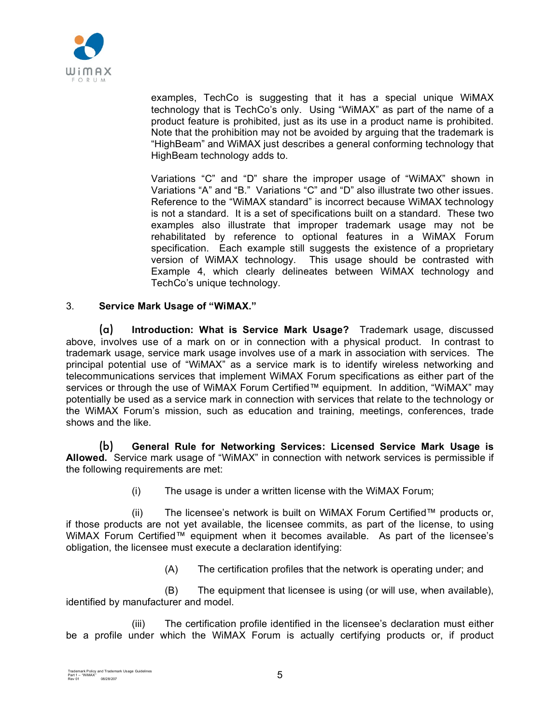

examples, TechCo is suggesting that it has a special unique WiMAX technology that is TechCo's only. Using "WiMAX" as part of the name of a product feature is prohibited, just as its use in a product name is prohibited. Note that the prohibition may not be avoided by arguing that the trademark is "HighBeam" and WiMAX just describes a general conforming technology that HighBeam technology adds to.

Variations "C" and "D" share the improper usage of "WiMAX" shown in Variations "A" and "B." Variations "C" and "D" also illustrate two other issues. Reference to the "WiMAX standard" is incorrect because WiMAX technology is not a standard. It is a set of specifications built on a standard. These two examples also illustrate that improper trademark usage may not be rehabilitated by reference to optional features in a WiMAX Forum specification. Each example still suggests the existence of a proprietary version of WiMAX technology. This usage should be contrasted with Example 4, which clearly delineates between WiMAX technology and TechCo's unique technology.

# 3. **Service Mark Usage of "WiMAX."**

(a) **Introduction: What is Service Mark Usage?** Trademark usage, discussed above, involves use of a mark on or in connection with a physical product. In contrast to trademark usage, service mark usage involves use of a mark in association with services. The principal potential use of "WiMAX" as a service mark is to identify wireless networking and telecommunications services that implement WiMAX Forum specifications as either part of the services or through the use of WiMAX Forum Certified™ equipment. In addition, "WiMAX" may potentially be used as a service mark in connection with services that relate to the technology or the WiMAX Forum's mission, such as education and training, meetings, conferences, trade shows and the like.

(b) **General Rule for Networking Services: Licensed Service Mark Usage is Allowed.** Service mark usage of "WiMAX" in connection with network services is permissible if the following requirements are met:

(i) The usage is under a written license with the WiMAX Forum;

(ii) The licensee's network is built on WiMAX Forum Certified™ products or, if those products are not yet available, the licensee commits, as part of the license, to using WiMAX Forum Certified™ equipment when it becomes available. As part of the licensee's obligation, the licensee must execute a declaration identifying:

(A) The certification profiles that the network is operating under; and

(B) The equipment that licensee is using (or will use, when available), identified by manufacturer and model.

(iii) The certification profile identified in the licensee's declaration must either be a profile under which the WiMAX Forum is actually certifying products or, if product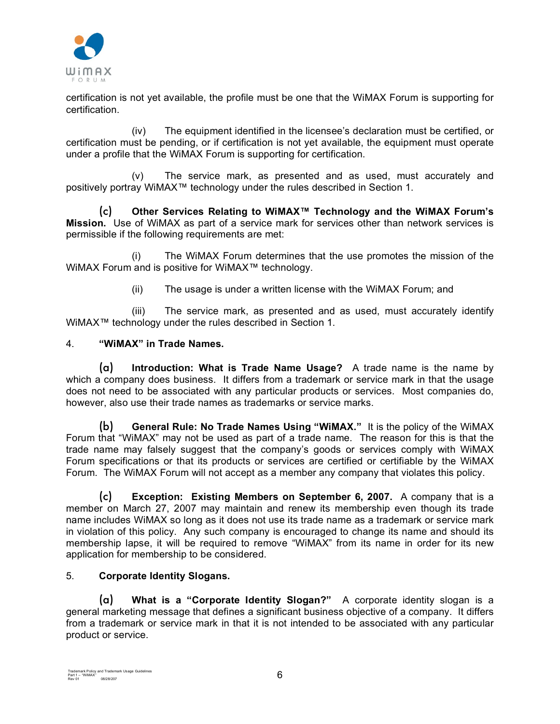

certification is not yet available, the profile must be one that the WiMAX Forum is supporting for certification.

(iv) The equipment identified in the licensee's declaration must be certified, or certification must be pending, or if certification is not yet available, the equipment must operate under a profile that the WiMAX Forum is supporting for certification.

(v) The service mark, as presented and as used, must accurately and positively portray WiMAX™ technology under the rules described in Section 1.

(c) **Other Services Relating to WiMAX™ Technology and the WiMAX Forum's Mission.** Use of WiMAX as part of a service mark for services other than network services is permissible if the following requirements are met:

(i) The WiMAX Forum determines that the use promotes the mission of the WiMAX Forum and is positive for WiMAX™ technology.

(ii) The usage is under a written license with the WiMAX Forum; and

(iii) The service mark, as presented and as used, must accurately identify WiMAX™ technology under the rules described in Section 1.

## 4. **"WiMAX" in Trade Names.**

(a) **Introduction: What is Trade Name Usage?** A trade name is the name by which a company does business. It differs from a trademark or service mark in that the usage does not need to be associated with any particular products or services. Most companies do, however, also use their trade names as trademarks or service marks.

(b) **General Rule: No Trade Names Using "WiMAX."** It is the policy of the WiMAX Forum that "WiMAX" may not be used as part of a trade name. The reason for this is that the trade name may falsely suggest that the company's goods or services comply with WiMAX Forum specifications or that its products or services are certified or certifiable by the WiMAX Forum. The WiMAX Forum will not accept as a member any company that violates this policy.

(c) **Exception: Existing Members on September 6, 2007.** A company that is a member on March 27, 2007 may maintain and renew its membership even though its trade name includes WiMAX so long as it does not use its trade name as a trademark or service mark in violation of this policy. Any such company is encouraged to change its name and should its membership lapse, it will be required to remove "WiMAX" from its name in order for its new application for membership to be considered.

## 5. **Corporate Identity Slogans.**

(a) **What is a "Corporate Identity Slogan?"** A corporate identity slogan is a general marketing message that defines a significant business objective of a company. It differs from a trademark or service mark in that it is not intended to be associated with any particular product or service.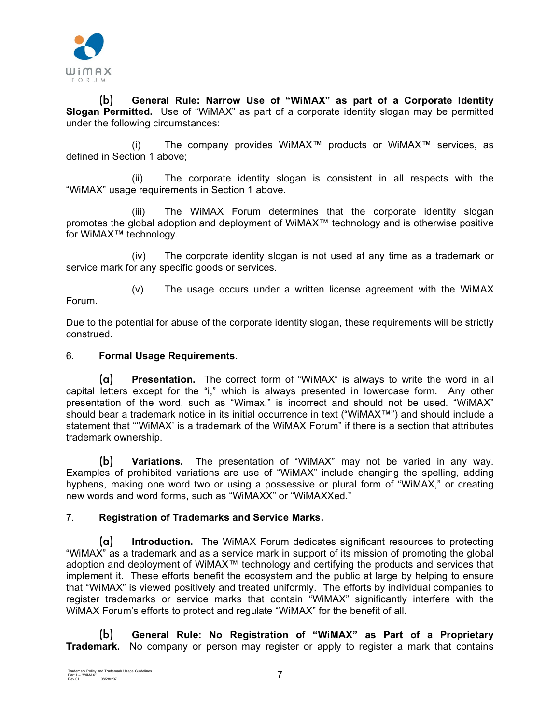

(b) **General Rule: Narrow Use of "WiMAX" as part of a Corporate Identity Slogan Permitted.** Use of "WiMAX" as part of a corporate identity slogan may be permitted under the following circumstances:

(i) The company provides WiMAX™ products or WiMAX™ services, as defined in Section 1 above;

(ii) The corporate identity slogan is consistent in all respects with the "WiMAX" usage requirements in Section 1 above.

(iii) The WiMAX Forum determines that the corporate identity slogan promotes the global adoption and deployment of WiMAX™ technology and is otherwise positive for WiMAX™ technology.

(iv) The corporate identity slogan is not used at any time as a trademark or service mark for any specific goods or services.

(v) The usage occurs under a written license agreement with the WiMAX Forum.

Due to the potential for abuse of the corporate identity slogan, these requirements will be strictly construed.

# 6. **Formal Usage Requirements.**

(a) **Presentation.** The correct form of "WiMAX" is always to write the word in all capital letters except for the "i," which is always presented in lowercase form. Any other presentation of the word, such as "Wimax," is incorrect and should not be used. "WiMAX" should bear a trademark notice in its initial occurrence in text ("WiMAX™") and should include a statement that "'WiMAX' is a trademark of the WiMAX Forum" if there is a section that attributes trademark ownership.

(b) **Variations.** The presentation of "WiMAX" may not be varied in any way. Examples of prohibited variations are use of "WiMAX" include changing the spelling, adding hyphens, making one word two or using a possessive or plural form of "WiMAX," or creating new words and word forms, such as "WiMAXX" or "WiMAXXed."

# 7. **Registration of Trademarks and Service Marks.**

(a) **Introduction.** The WiMAX Forum dedicates significant resources to protecting "WiMAX" as a trademark and as a service mark in support of its mission of promoting the global adoption and deployment of WiMAX<sup>™</sup> technology and certifying the products and services that implement it. These efforts benefit the ecosystem and the public at large by helping to ensure that "WiMAX" is viewed positively and treated uniformly. The efforts by individual companies to register trademarks or service marks that contain "WiMAX" significantly interfere with the WiMAX Forum's efforts to protect and regulate "WiMAX" for the benefit of all.

(b) **General Rule: No Registration of "WiMAX" as Part of a Proprietary Trademark.** No company or person may register or apply to register a mark that contains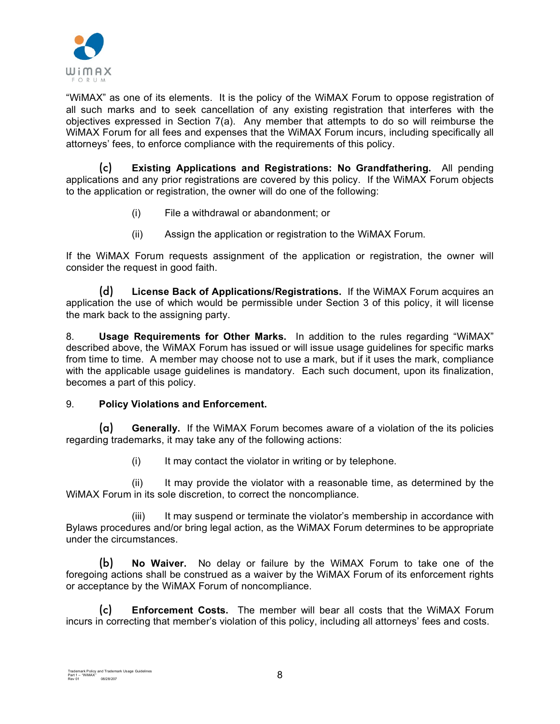

"WiMAX" as one of its elements. It is the policy of the WiMAX Forum to oppose registration of all such marks and to seek cancellation of any existing registration that interferes with the objectives expressed in Section 7(a). Any member that attempts to do so will reimburse the WiMAX Forum for all fees and expenses that the WiMAX Forum incurs, including specifically all attorneys' fees, to enforce compliance with the requirements of this policy.

(c) **Existing Applications and Registrations: No Grandfathering.** All pending applications and any prior registrations are covered by this policy. If the WiMAX Forum objects to the application or registration, the owner will do one of the following:

- (i) File a withdrawal or abandonment; or
- (ii) Assign the application or registration to the WiMAX Forum.

If the WiMAX Forum requests assignment of the application or registration, the owner will consider the request in good faith.

(d) **License Back of Applications/Registrations.** If the WiMAX Forum acquires an application the use of which would be permissible under Section 3 of this policy, it will license the mark back to the assigning party.

8. **Usage Requirements for Other Marks.** In addition to the rules regarding "WiMAX" described above, the WiMAX Forum has issued or will issue usage guidelines for specific marks from time to time. A member may choose not to use a mark, but if it uses the mark, compliance with the applicable usage guidelines is mandatory. Each such document, upon its finalization, becomes a part of this policy.

## 9. **Policy Violations and Enforcement.**

(a) **Generally.** If the WiMAX Forum becomes aware of a violation of the its policies regarding trademarks, it may take any of the following actions:

(i) It may contact the violator in writing or by telephone.

(ii) It may provide the violator with a reasonable time, as determined by the WiMAX Forum in its sole discretion, to correct the noncompliance.

(iii) It may suspend or terminate the violator's membership in accordance with Bylaws procedures and/or bring legal action, as the WiMAX Forum determines to be appropriate under the circumstances.

(b) **No Waiver.** No delay or failure by the WiMAX Forum to take one of the foregoing actions shall be construed as a waiver by the WiMAX Forum of its enforcement rights or acceptance by the WiMAX Forum of noncompliance.

(c) **Enforcement Costs.** The member will bear all costs that the WiMAX Forum incurs in correcting that member's violation of this policy, including all attorneys' fees and costs.